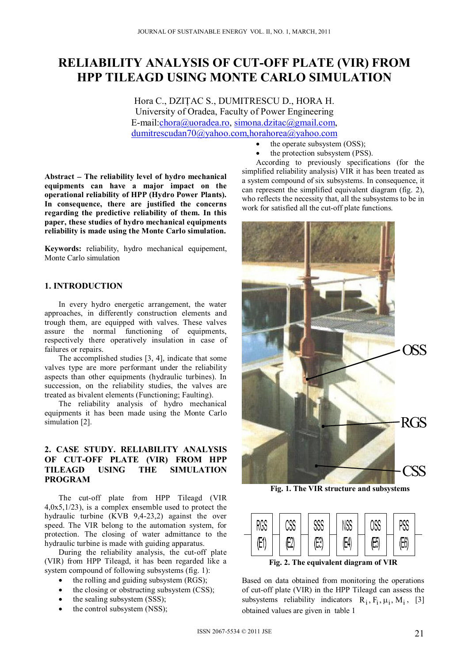# **RELIABILITY ANALYSIS OF CUT-OFF PLATE (VIR) FROM HPP TILEAGD USING MONTE CARLO SIMULATION**

Hora C., DZIŢAC S., DUMITRESCU D., HORA H. University of Oradea, Faculty of Power Engineering E-mail:chora@uoradea.ro, simona.dzitac@gmail.com, dumitrescudan70@yahoo.com,horahorea@yahoo.com

- $\bullet$  the operate subsystem  $(OSS)$ :
- the protection subsystem (PSS).

**Abstract The reliability level of hydro mechanical equipments can have a major impact on the operational reliability of HPP (Hydro Power Plants). In consequence, there are justified the concerns regarding the predictive reliability of them. In this paper, these studies of hydro mechanical equipments reliability is made using the Monte Carlo simulation.** 

**Keywords:** reliability, hydro mechanical equipement, Monte Carlo simulation

## **1. INTRODUCTION**

In every hydro energetic arrangement, the water approaches, in differently construction elements and trough them, are equipped with valves. These valves assure the normal functioning of equipments, respectively there operatively insulation in case of failures or repairs.

The accomplished studies [3, 4], indicate that some valves type are more performant under the reliability aspects than other equipments (hydraulic turbines). In succession, on the reliability studies, the valves are treated as bivalent elements (Functioning; Faulting).

The reliability analysis of hydro mechanical equipments it has been made using the Monte Carlo simulation [2].

## **2. CASE STUDY. RELIABILITY ANALYSIS OF CUT-OFF PLATE (VIR) FROM HPP TILEAGD USING THE SIMULATION PROGRAM**

The cut-off plate from HPP Tileagd (VIR 4,0x5,1/23), is a complex ensemble used to protect the hydraulic turbine (KVB 9,4-23,2) against the over speed. The VIR belong to the automation system, for protection. The closing of water admittance to the hydraulic turbine is made with guiding apparatus.

During the reliability analysis, the cut-off plate (VIR) from HPP Tileagd, it has been regarded like a system compound of following subsystems (fig. 1):

- the rolling and guiding subsystem (RGS);
- the closing or obstructing subsystem (CSS);
- $\bullet$  the sealing subsystem (SSS);
- $\bullet$  the control subsystem (NSS);

According to previously specifications (for the simplified reliability analysis) VIR it has been treated as a system compound of six subsystems. In consequence, it can represent the simplified equivalent diagram (fig. 2), who reflects the necessity that, all the subsystems to be in work for satisfied all the cut-off plate functions.



**Fig. 1. The VIR structure and subsystems** 

| $\cdots$ | $\sim$ $\sim$ |  | $\cdots$ | 0.777 |  |  |
|----------|---------------|--|----------|-------|--|--|
| --       |               |  |          |       |  |  |
|          |               |  |          |       |  |  |

**Fig. 2. The equivalent diagram of VIR**

Based on data obtained from monitoring the operations of cut-off plate (VIR) in the HPP Tileagd can assess the subsystems reliability indicators  $R_i, F_i, \mu_i, M_i$ , [3] obtained values are given in table 1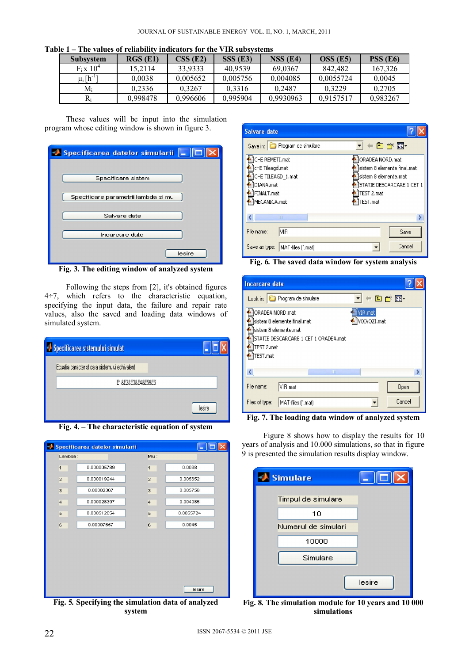|  |  |  | Table 1 – The values of reliability indicators for the VIR subsystems |
|--|--|--|-----------------------------------------------------------------------|
|--|--|--|-----------------------------------------------------------------------|

| <b>Subsystem</b>          | RGS(E1)  | CSS(E2)  | $SSS$ (E3) | $\overline{\text{NSS}}$ (E4) | $\overline{OSS}$ (E5) | PSS <sub>(E6)</sub> |
|---------------------------|----------|----------|------------|------------------------------|-----------------------|---------------------|
| $F_i x 10^4$              | 15.2114  | 33.9333  | 40.9539    | 69.0367                      | 842.482               | 167.326             |
| $\mu_i$ [h <sup>-1-</sup> | 0.0038   | 0.005652 | 0.005756   | 0.004085                     | 0.0055724             | 0.0045              |
| $M_i$                     | 0.2336   | 0.3267   | 0.3316     | 0.2487                       | 0.3229                | 0.2705              |
| R,                        | 0.998478 | 0.996606 | 0.995904   | 0.9930963                    | 0.9157517             | 0.983267            |

These values will be input into the simulation program whose editing window is shown in figure 3.

| $\rightarrow$ Specificarea datelor simularii $\parallel$ $\parallel$ $\Box$ |
|-----------------------------------------------------------------------------|
|                                                                             |
| Specificare sistem                                                          |
| Specificare parametrii lambda si mu                                         |
| Salvare date                                                                |
|                                                                             |
| Incarcare date                                                              |
| lesire                                                                      |

**Fig. 3. The editing window of analyzed system** 

Following the steps from [2], it's obtained figures 4÷7, which refers to the characteristic equation, specifying the input data, the failure and repair rate values, also the saved and loading data windows of simulated system.

| Specificarea sistemului simulat                |        |
|------------------------------------------------|--------|
| Ecuatia característica a sistemului echivalent |        |
| E18E28E38E48E58E6                              |        |
|                                                | lesire |

**Fig. 4. – The characteristic equation of system** 

|                | Specificarea datelor simularii |                |           |
|----------------|--------------------------------|----------------|-----------|
| Lambda:        |                                | Miu:           |           |
| $\overline{1}$ | 0.000005789                    | $\overline{1}$ | 0.0038    |
| $\overline{a}$ | 0.000019244                    | $\overline{2}$ | 0.005652  |
| 3              | 0.00002367                     | 3              | 0.005756  |
| $\overline{4}$ | 0.000028397                    | $\overline{4}$ | 0.004085  |
| 5              | 0.000512654                    | 5              | 0.0055724 |
| 6              | 0.00007657                     | 6              | 0.0045    |
|                |                                |                |           |
|                |                                |                |           |
|                |                                |                |           |
|                |                                |                |           |
|                |                                |                |           |
|                |                                |                | lesire    |

**Fig. 5***.* **Specifying the simulation data of analyzed system**

| <b>Salvare date</b>                                                                               |                                                                                                                                |
|---------------------------------------------------------------------------------------------------|--------------------------------------------------------------------------------------------------------------------------------|
| Save in: <b>C</b> Program de simulare                                                             | ←回び囲                                                                                                                           |
| CHE REMETI.mat<br>cHE Tileagd.mat<br>CHE TILEAGD 1.mat<br>DIANA.mat<br>FINALT.mat<br>MECANICA.mat | ORADEA NORD.mat<br>sistem 8 elemente final mat<br>sistem 8 elemente.mat<br>STATIE DESCARCARE 1 CET 1<br>TEST 2.mat<br>TEST.mat |
| ∢<br>ШI                                                                                           |                                                                                                                                |
| File name:<br>MВ                                                                                  | Save                                                                                                                           |
| Save as type:<br>MAT-files (".mat)                                                                | Cancel                                                                                                                         |

**Fig. 6***.* **The saved data window for system analysis**

| <b>Incarcare date</b>                     |                                                                                              |                        |             |
|-------------------------------------------|----------------------------------------------------------------------------------------------|------------------------|-------------|
|                                           | Look in: <b>D</b> Program de simulare                                                        | ←面盛國・                  |             |
| ORADEA NORD.mat<br>TEST 2.mat<br>FEST.mat | sistem 8 elemente final.mat<br>sistem 8 elemente.mat<br>STATIE DESCARCARE 1 CET 1 ORADEA.mat | VIR.mat<br>VOIVOZI.mat |             |
| ∢                                         | $\mathbb{I} \mathbb{II}$                                                                     |                        |             |
| File name:                                | VIR.mat                                                                                      |                        | <b>Upen</b> |
| Files of type:                            | MAT-files [".mat]                                                                            |                        | Cancel      |

**Fig. 7. The loading data window of analyzed system** 

Figure 8 shows how to display the results for 10 years of analysis and 10.000 simulations, so that in figure 9 is presented the simulation results display window.

| Simulare            |        |
|---------------------|--------|
| Timpul de simulare  |        |
| 10                  |        |
| Numarul de simulari |        |
| 10000               |        |
| Simulare            |        |
|                     | lesire |

**Fig. 8***.* **The** *s***imulation module for 10 years and 10 000 simulations**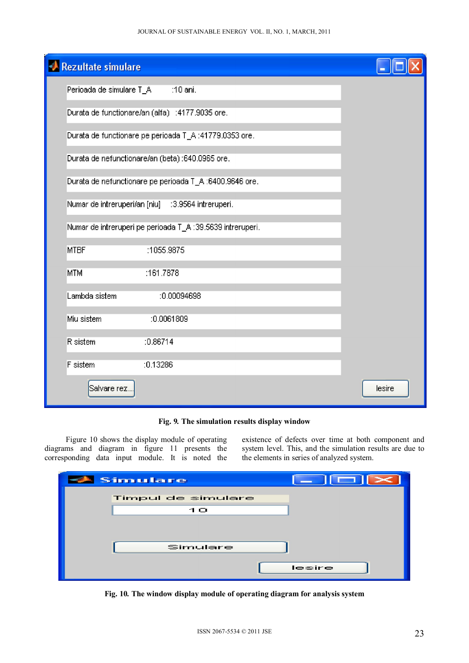| <b>Rezultate simulare</b>                                  |        |
|------------------------------------------------------------|--------|
| :10 ani.<br>Perioada de simulare T_A                       |        |
| Durata de functionare/an (alfa) : 4177.9035 ore.           |        |
| Durata de functionare pe perioada T_A :41779.0353 ore.     |        |
| Durata de nefunctionare/an (beta) :640.0965 ore.           |        |
| Durata de nefunctionare pe perioada T_A :6400.9646 ore.    |        |
| Numar de intreruperi/an [niu] : 3.9564 intreruperi.        |        |
| Numar de intreruperi pe perioada T_A :39.5639 intreruperi. |        |
| :1055.9875<br><b>MTBF</b>                                  |        |
| <b>MTM</b><br>:161.7878                                    |        |
| Lambda sistem<br>:0.00094698                               |        |
| Miu sistem<br>:0.0061809                                   |        |
| R sistem<br>:0.86714                                       |        |
| F sistem<br>:0.13286                                       |        |
| Salvare rez.                                               | lesire |

#### **Fig. 9***.* **The simulation results display window**

Figure 10 shows the display module of operating diagrams and diagram in figure 11 presents the corresponding data input module. It is noted the existence of defects over time at both component and system level. This, and the simulation results are due to the elements in series of analyzed system.

| <b>Simulare</b>    |  |
|--------------------|--|
| Timpul de simulare |  |
| 1 O                |  |
|                    |  |
| Simulare           |  |
| lesire             |  |

**Fig. 10***.* **The window display module of operating diagram for analysis system**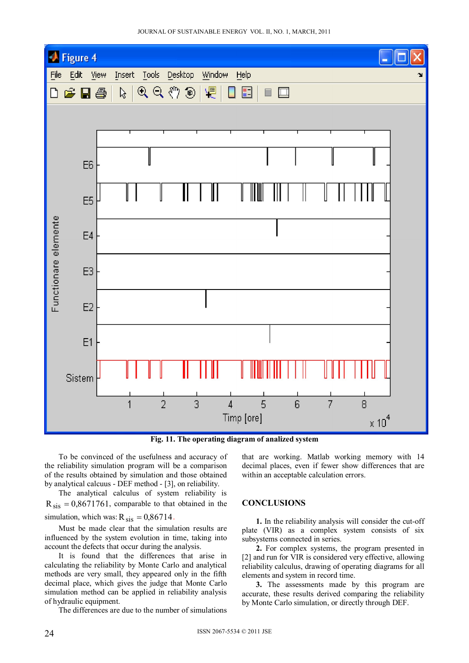**A** Figure 4 File Edit View Insert Tools Desktop Window Help  $@@@@$ ∖≣  $\Box$ H A ľ,  $\bigcirc$ Г١ **PAGE F6** E<sub>5</sub> Functionare elemente E<sub>4</sub> E<sub>3</sub>  $E2$  $E1$ Sistem  $\overline{2}$  $\overline{A}$ 5 3 6 8  $\times$  10  $^{4}$ Timp [ore]

JOURNAL OF SUSTAINABLE ENERGY VOL. II, NO. 1, MARCH, 2011

**Fig. 11. The operating diagram of analized system**

To be convinced of the usefulness and accuracy of the reliability simulation program will be a comparison of the results obtained by simulation and those obtained by analytical calcuus - DEF method - [3], on reliability.

The analytical calculus of system reliability is  $R_{\text{sis}} = 0.8671761$ , comparable to that obtained in the simulation, which was:  $R_{\text{sis}} = 0.86714$ .

Must be made clear that the simulation results are influenced by the system evolution in time, taking into account the defects that occur during the analysis.

It is found that the differences that arise in calculating the reliability by Monte Carlo and analytical methods are very small, they appeared only in the fifth decimal place, which gives the judge that Monte Carlo simulation method can be applied in reliability analysis of hydraulic equipment.

The differences are due to the number of simulations

that are working. Matlab working memory with 14 decimal places, even if fewer show differences that are within an acceptable calculation errors.

#### **CONCLUSIONS**

**1.** In the reliability analysis will consider the cut-off plate (VIR) as a complex system consists of six subsystems connected in series.

**2.** For complex systems, the program presented in [2] and run for VIR is considered very effective, allowing reliability calculus, drawing of operating diagrams for all elements and system in record time.

**3.** The assessments made by this program are accurate, these results derived comparing the reliability by Monte Carlo simulation, or directly through DEF.